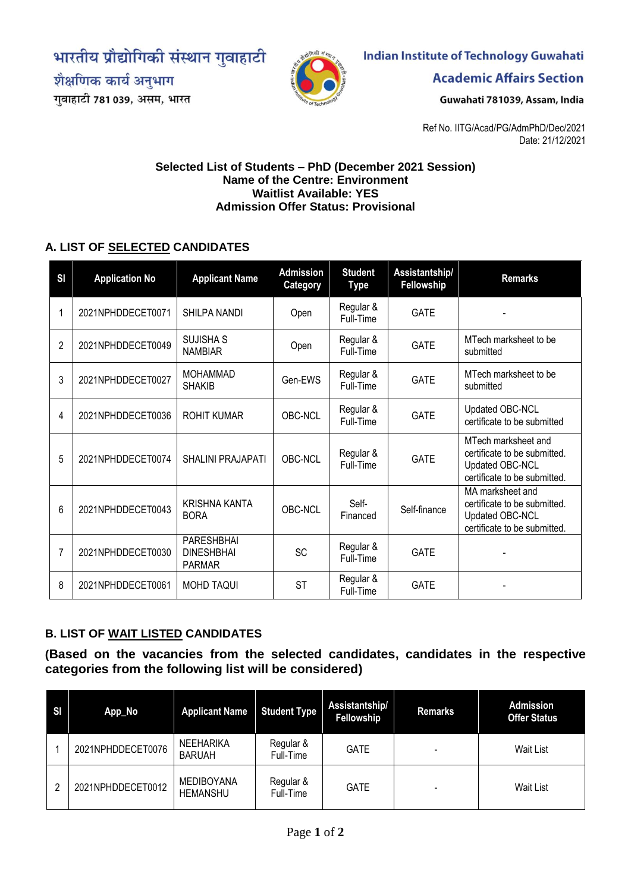भारतीय प्रौद्योगिकी संस्थान गुवाहाटी

शैक्षणिक कार्य अनुभाग गुवाहाटी 781 039, असम, भारत



## **Indian Institute of Technology Guwahati**

**Academic Affairs Section** 

Guwahati 781039, Assam, India

Ref No. IITG/Acad/PG/AdmPhD/Dec/2021 Date: 21/12/2021

## **Selected List of Students – PhD (December 2021 Session) Name of the Centre: Environment Waitlist Available: YES Admission Offer Status: Provisional**

## **A. LIST OF SELECTED CANDIDATES**

| S <sub>1</sub> | <b>Application No</b> | <b>Applicant Name</b>                            | <b>Admission</b><br>Category | <b>Student</b><br><b>Type</b> | Assistantship/<br>Fellowship | <b>Remarks</b>                                                                                         |
|----------------|-----------------------|--------------------------------------------------|------------------------------|-------------------------------|------------------------------|--------------------------------------------------------------------------------------------------------|
| 1              | 2021NPHDDECET0071     | SHILPA NANDI                                     | Open                         | Regular &<br>Full-Time        | <b>GATE</b>                  |                                                                                                        |
| $\overline{2}$ | 2021NPHDDECET0049     | <b>SUJISHA S</b><br><b>NAMBIAR</b>               | Open                         | Regular &<br>Full-Time        | <b>GATE</b>                  | MTech marksheet to be<br>submitted                                                                     |
| $\mathfrak{Z}$ | 2021NPHDDECET0027     | <b>MOHAMMAD</b><br><b>SHAKIB</b>                 | Gen-EWS                      | Regular &<br>Full-Time        | <b>GATE</b>                  | MTech marksheet to be<br>submitted                                                                     |
| 4              | 2021NPHDDECET0036     | <b>ROHIT KUMAR</b>                               | OBC-NCL                      | Regular &<br>Full-Time        | <b>GATE</b>                  | Updated OBC-NCL<br>certificate to be submitted                                                         |
| 5              | 2021NPHDDECET0074     | SHALINI PRAJAPATI                                | OBC-NCL                      | Regular &<br>Full-Time        | <b>GATE</b>                  | MTech marksheet and<br>certificate to be submitted.<br>Updated OBC-NCL<br>certificate to be submitted. |
| 6              | 2021NPHDDECET0043     | <b>KRISHNA KANTA</b><br><b>BORA</b>              | OBC-NCL                      | Self-<br>Financed             | Self-finance                 | MA marksheet and<br>certificate to be submitted.<br>Updated OBC-NCL<br>certificate to be submitted.    |
| 7              | 2021NPHDDECET0030     | PARESHBHAI<br><b>DINESHBHAI</b><br><b>PARMAR</b> | <b>SC</b>                    | Regular &<br>Full-Time        | <b>GATE</b>                  |                                                                                                        |
| 8              | 2021NPHDDECET0061     | MOHD TAQUI                                       | <b>ST</b>                    | Regular &<br>Full-Time        | <b>GATE</b>                  |                                                                                                        |

## **B. LIST OF WAIT LISTED CANDIDATES**

**(Based on the vacancies from the selected candidates, candidates in the respective categories from the following list will be considered)**

| <b>SI</b> | App_No            | <b>Applicant Name</b>                | <b>Student Type</b>    | Assistantship/<br>Fellowship | <b>Remarks</b> | <b>Admission</b><br><b>Offer Status</b> |
|-----------|-------------------|--------------------------------------|------------------------|------------------------------|----------------|-----------------------------------------|
|           | 2021NPHDDECET0076 | <b>NEEHARIKA</b><br><b>BARUAH</b>    | Regular &<br>Full-Time | <b>GATE</b>                  |                | Wait List                               |
| 2         | 2021NPHDDECET0012 | <b>MEDIBOYANA</b><br><b>HEMANSHU</b> | Regular &<br>Full-Time | <b>GATE</b>                  |                | Wait List                               |